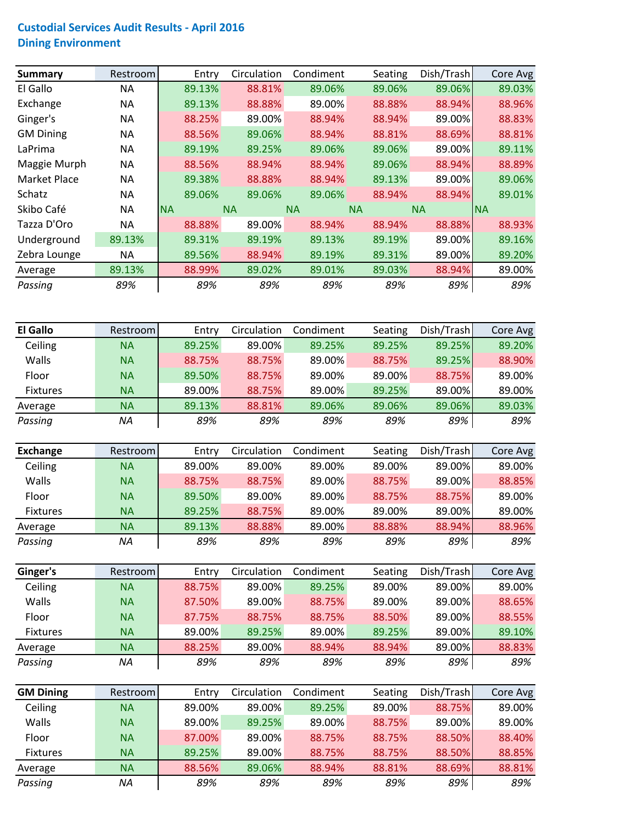## **Custodial Services Audit Results ‐ April 2016 Dining Environment**

| Summary          | Restroom  | Entry     | Circulation | Condiment | Seating   | Dish/Trash | Core Avg  |
|------------------|-----------|-----------|-------------|-----------|-----------|------------|-----------|
| El Gallo         | ΝA        | 89.13%    | 88.81%      | 89.06%    | 89.06%    | 89.06%     | 89.03%    |
| Exchange         | NА        | 89.13%    | 88.88%      | 89.00%    | 88.88%    | 88.94%     | 88.96%    |
| Ginger's         | NА        | 88.25%    | 89.00%      | 88.94%    | 88.94%    | 89.00%     | 88.83%    |
| <b>GM Dining</b> | <b>NA</b> | 88.56%    | 89.06%      | 88.94%    | 88.81%    | 88.69%     | 88.81%    |
| LaPrima          | NА        | 89.19%    | 89.25%      | 89.06%    | 89.06%    | 89.00%     | 89.11%    |
| Maggie Murph     | <b>NA</b> | 88.56%    | 88.94%      | 88.94%    | 89.06%    | 88.94%     | 88.89%    |
| Market Place     | <b>NA</b> | 89.38%    | 88.88%      | 88.94%    | 89.13%    | 89.00%     | 89.06%    |
| Schatz           | NА        | 89.06%    | 89.06%      | 89.06%    | 88.94%    | 88.94%     | 89.01%    |
| Skibo Café       | NА        | <b>NA</b> | <b>NA</b>   | <b>NA</b> | <b>NA</b> | <b>NA</b>  | <b>NA</b> |
| Tazza D'Oro      | NА        | 88.88%    | 89.00%      | 88.94%    | 88.94%    | 88.88%     | 88.93%    |
| Underground      | 89.13%    | 89.31%    | 89.19%      | 89.13%    | 89.19%    | 89.00%     | 89.16%    |
| Zebra Lounge     | ΝA        | 89.56%    | 88.94%      | 89.19%    | 89.31%    | 89.00%     | 89.20%    |
| Average          | 89.13%    | 88.99%    | 89.02%      | 89.01%    | 89.03%    | 88.94%     | 89.00%    |
| Passing          | 89%       | 89%       | 89%         | 89%       | 89%       | 89%        | 89%       |

| <b>El Gallo</b> | Restroom  | Entry  | Circulation | Condiment | Seating | Dish/Trash | Core Avg |
|-----------------|-----------|--------|-------------|-----------|---------|------------|----------|
| Ceiling         | <b>NA</b> | 89.25% | 89.00%      | 89.25%    | 89.25%  | 89.25%     | 89.20%   |
| Walls           | <b>NA</b> | 88.75% | 88.75%      | 89.00%    | 88.75%  | 89.25%     | 88.90%   |
| Floor           | <b>NA</b> | 89.50% | 88.75%      | 89.00%    | 89.00%  | 88.75%     | 89.00%   |
| <b>Fixtures</b> | <b>NA</b> | 89.00% | 88.75%      | 89.00%    | 89.25%  | 89.00%     | 89.00%   |
| Average         | <b>NA</b> | 89.13% | 88.81%      | 89.06%    | 89.06%  | 89.06%     | 89.03%   |
| Passing         | ΝA        | 89%    | 89%         | 89%       | 89%     | 89%        | 89%      |

| Exchange        | Restroom  | Entry  | Circulation | Condiment | Seating | Dish/Trash | Core Avg |
|-----------------|-----------|--------|-------------|-----------|---------|------------|----------|
| Ceiling         | <b>NA</b> | 89.00% | 89.00%      | 89.00%    | 89.00%  | 89.00%     | 89.00%   |
| Walls           | <b>NA</b> | 88.75% | 88.75%      | 89.00%    | 88.75%  | 89.00%     | 88.85%   |
| Floor           | <b>NA</b> | 89.50% | 89.00%      | 89.00%    | 88.75%  | 88.75%     | 89.00%   |
| <b>Fixtures</b> | <b>NA</b> | 89.25% | 88.75%      | 89.00%    | 89.00%  | 89.00%     | 89.00%   |
| Average         | <b>NA</b> | 89.13% | 88.88%      | 89.00%    | 88.88%  | 88.94%     | 88.96%   |
| Passing         | ΝA        | 89%    | 89%         | 89%       | 89%     | 89%        | 89%      |

| Ginger's     | Restroom  | Entry  | Circulation | Condiment | Seating | Dish/Trash | Core Avg |
|--------------|-----------|--------|-------------|-----------|---------|------------|----------|
| Ceiling      | <b>NA</b> | 88.75% | 89.00%      | 89.25%    | 89.00%  | 89.00%     | 89.00%   |
| <b>Walls</b> | <b>NA</b> | 87.50% | 89.00%      | 88.75%    | 89.00%  | 89.00%     | 88.65%   |
| Floor        | <b>NA</b> | 87.75% | 88.75%      | 88.75%    | 88.50%  | 89.00%     | 88.55%   |
| Fixtures     | <b>NA</b> | 89.00% | 89.25%      | 89.00%    | 89.25%  | 89.00%     | 89.10%   |
| Average      | <b>NA</b> | 88.25% | 89.00%      | 88.94%    | 88.94%  | 89.00%     | 88.83%   |
| Passing      | ΝA        | 89%    | 89%         | 89%       | 89%     | 89%        | 89%      |

| <b>GM Dining</b> | Restroom  | Entry  | Circulation | Condiment | Seating | Dish/Trash | Core Avg |
|------------------|-----------|--------|-------------|-----------|---------|------------|----------|
| Ceiling          | <b>NA</b> | 89.00% | 89.00%      | 89.25%    | 89.00%  | 88.75%     | 89.00%   |
| <b>Walls</b>     | <b>NA</b> | 89.00% | 89.25%      | 89.00%    | 88.75%  | 89.00%     | 89.00%   |
| Floor            | <b>NA</b> | 87.00% | 89.00%      | 88.75%    | 88.75%  | 88.50%     | 88.40%   |
| <b>Fixtures</b>  | <b>NA</b> | 89.25% | 89.00%      | 88.75%    | 88.75%  | 88.50%     | 88.85%   |
| Average          | <b>NA</b> | 88.56% | 89.06%      | 88.94%    | 88.81%  | 88.69%     | 88.81%   |
| Passing          | ΝA        | 89%    | 89%         | 89%       | 89%     | 89%        | 89%      |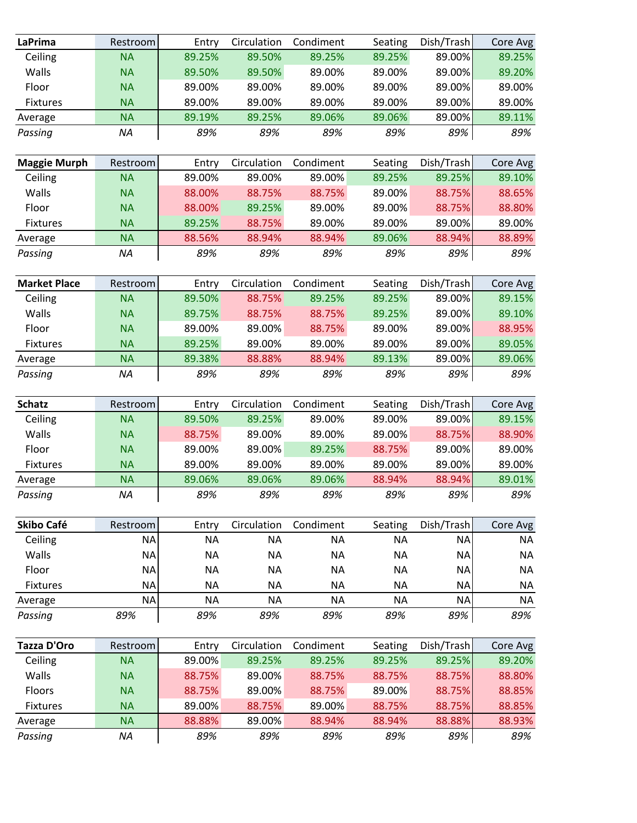| <b>LaPrima</b>      | Restroom  | Entry     | Circulation | Condiment | Seating   | Dish/Trash | Core Avg  |
|---------------------|-----------|-----------|-------------|-----------|-----------|------------|-----------|
| Ceiling             | <b>NA</b> | 89.25%    | 89.50%      | 89.25%    | 89.25%    | 89.00%     | 89.25%    |
| Walls               | <b>NA</b> | 89.50%    | 89.50%      | 89.00%    | 89.00%    | 89.00%     | 89.20%    |
| Floor               | <b>NA</b> | 89.00%    | 89.00%      | 89.00%    | 89.00%    | 89.00%     | 89.00%    |
| <b>Fixtures</b>     | <b>NA</b> | 89.00%    | 89.00%      | 89.00%    | 89.00%    | 89.00%     | 89.00%    |
| Average             | <b>NA</b> | 89.19%    | 89.25%      | 89.06%    | 89.06%    | 89.00%     | 89.11%    |
| Passing             | NA        | 89%       | 89%         | 89%       | 89%       | 89%        | 89%       |
|                     |           |           |             |           |           |            |           |
| <b>Maggie Murph</b> | Restroom  | Entry     | Circulation | Condiment | Seating   | Dish/Trash | Core Avg  |
| Ceiling             | <b>NA</b> | 89.00%    | 89.00%      | 89.00%    | 89.25%    | 89.25%     | 89.10%    |
| Walls               | <b>NA</b> | 88.00%    | 88.75%      | 88.75%    | 89.00%    | 88.75%     | 88.65%    |
| Floor               | <b>NA</b> | 88.00%    | 89.25%      | 89.00%    | 89.00%    | 88.75%     | 88.80%    |
| <b>Fixtures</b>     | <b>NA</b> | 89.25%    | 88.75%      | 89.00%    | 89.00%    | 89.00%     | 89.00%    |
| Average             | <b>NA</b> | 88.56%    | 88.94%      | 88.94%    | 89.06%    | 88.94%     | 88.89%    |
| Passing             | NA        | 89%       | 89%         | 89%       | 89%       | 89%        | 89%       |
| <b>Market Place</b> | Restroom  | Entry     | Circulation | Condiment | Seating   | Dish/Trash | Core Avg  |
| Ceiling             | <b>NA</b> | 89.50%    | 88.75%      | 89.25%    | 89.25%    | 89.00%     | 89.15%    |
| Walls               | <b>NA</b> | 89.75%    | 88.75%      | 88.75%    | 89.25%    | 89.00%     | 89.10%    |
| Floor               | <b>NA</b> | 89.00%    | 89.00%      | 88.75%    | 89.00%    | 89.00%     | 88.95%    |
| <b>Fixtures</b>     | <b>NA</b> | 89.25%    | 89.00%      | 89.00%    | 89.00%    | 89.00%     | 89.05%    |
| Average             | <b>NA</b> | 89.38%    | 88.88%      | 88.94%    | 89.13%    | 89.00%     | 89.06%    |
| Passing             | <b>NA</b> | 89%       | 89%         | 89%       | 89%       | 89%        | 89%       |
|                     |           |           |             |           |           |            |           |
| <b>Schatz</b>       | Restroom  | Entry     | Circulation | Condiment | Seating   | Dish/Trash | Core Avg  |
| Ceiling             | <b>NA</b> | 89.50%    | 89.25%      | 89.00%    | 89.00%    | 89.00%     | 89.15%    |
| Walls               | <b>NA</b> | 88.75%    | 89.00%      | 89.00%    | 89.00%    | 88.75%     | 88.90%    |
| Floor               | <b>NA</b> | 89.00%    | 89.00%      | 89.25%    | 88.75%    | 89.00%     | 89.00%    |
| <b>Fixtures</b>     | <b>NA</b> | 89.00%    | 89.00%      | 89.00%    | 89.00%    | 89.00%     | 89.00%    |
| Average             | <b>NA</b> | 89.06%    | 89.06%      | 89.06%    | 88.94%    | 88.94%     | 89.01%    |
| Passing             | <b>NA</b> | 89%       | 89%         | 89%       | 89%       | 89%        | 89%       |
| <b>Skibo Café</b>   | Restroom  | Entry     | Circulation | Condiment | Seating   | Dish/Trash | Core Avg  |
| Ceiling             | <b>NA</b> | <b>NA</b> | <b>NA</b>   | <b>NA</b> | <b>NA</b> | <b>NA</b>  | <b>NA</b> |
| Walls               | <b>NA</b> | <b>NA</b> | <b>NA</b>   | <b>NA</b> | <b>NA</b> | <b>NA</b>  | <b>NA</b> |
| Floor               | <b>NA</b> | <b>NA</b> | <b>NA</b>   | <b>NA</b> | <b>NA</b> | <b>NA</b>  | <b>NA</b> |
| <b>Fixtures</b>     | <b>NA</b> | <b>NA</b> | <b>NA</b>   | <b>NA</b> | <b>NA</b> | <b>NA</b>  | <b>NA</b> |
| Average             | <b>NA</b> | <b>NA</b> | <b>NA</b>   | <b>NA</b> | <b>NA</b> | <b>NA</b>  | <b>NA</b> |
| Passing             | 89%       | 89%       | 89%         | 89%       | 89%       | 89%        | 89%       |
|                     |           |           |             |           |           |            |           |
| Tazza D'Oro         | Restroom  | Entry     | Circulation | Condiment | Seating   | Dish/Trash | Core Avg  |
| Ceiling             | <b>NA</b> | 89.00%    | 89.25%      | 89.25%    | 89.25%    | 89.25%     | 89.20%    |
| Walls               | <b>NA</b> | 88.75%    | 89.00%      | 88.75%    | 88.75%    | 88.75%     | 88.80%    |
| Floors              | <b>NA</b> | 88.75%    | 89.00%      | 88.75%    | 89.00%    | 88.75%     | 88.85%    |
| Fixtures            | <b>NA</b> | 89.00%    | 88.75%      | 89.00%    | 88.75%    | 88.75%     | 88.85%    |
| Average             | <b>NA</b> | 88.88%    | 89.00%      | 88.94%    | 88.94%    | 88.88%     | 88.93%    |
| Passing             | NA        | 89%       | 89%         | 89%       | 89%       | 89%        | 89%       |